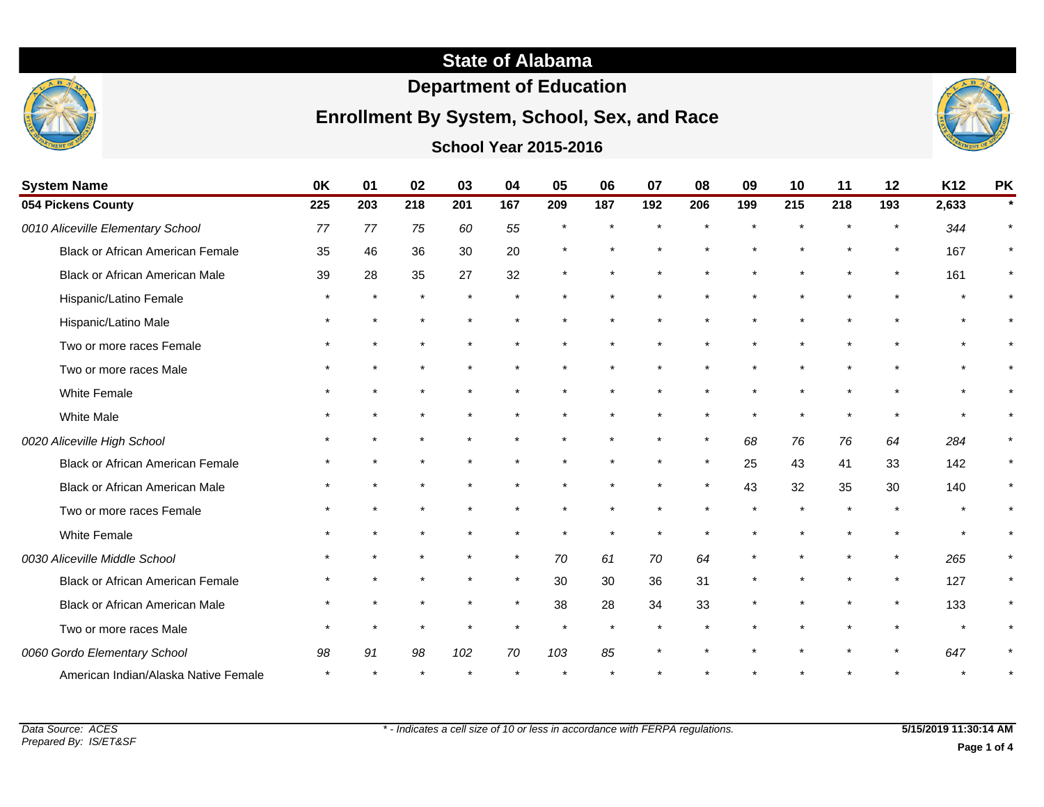# **State of Alabama**

# **Department of Education**

## **Enrollment By System, School, Sex, and Race**

### **School Year 2015-2016**



| <b>System Name</b>                      | 0K  | 01      | 02      | 03  | 04      | 05  | 06      | 07      | 08      | 09  | 10  | 11  | 12      | K <sub>12</sub> | <b>PK</b> |
|-----------------------------------------|-----|---------|---------|-----|---------|-----|---------|---------|---------|-----|-----|-----|---------|-----------------|-----------|
| 054 Pickens County                      | 225 | 203     | 218     | 201 | 167     | 209 | 187     | 192     | 206     | 199 | 215 | 218 | 193     | 2,633           |           |
| 0010 Aliceville Elementary School       | 77  | 77      | 75      | 60  | 55      |     |         |         |         |     |     |     |         | 344             |           |
| <b>Black or African American Female</b> | 35  | 46      | 36      | 30  | 20      |     |         |         |         |     |     |     | $\star$ | 167             |           |
| <b>Black or African American Male</b>   | 39  | 28      | 35      | 27  | 32      |     |         |         |         |     |     |     |         | 161             |           |
| Hispanic/Latino Female                  |     | $\star$ | $\star$ |     |         |     |         |         |         |     |     |     |         |                 |           |
| Hispanic/Latino Male                    |     |         |         |     |         |     |         |         |         |     |     |     |         |                 |           |
| Two or more races Female                |     |         |         |     |         |     |         |         |         |     |     |     |         |                 |           |
| Two or more races Male                  |     |         |         |     |         |     |         |         |         |     |     |     |         |                 |           |
| White Female                            |     |         |         |     |         |     |         |         |         |     |     |     |         |                 |           |
| <b>White Male</b>                       |     |         |         |     |         |     |         |         |         |     |     |     |         |                 |           |
| 0020 Aliceville High School             |     |         |         |     |         |     |         | $\star$ | $\star$ | 68  | 76  | 76  | 64      | 284             |           |
| Black or African American Female        |     |         |         |     |         |     |         |         |         | 25  | 43  | 41  | 33      | 142             |           |
| <b>Black or African American Male</b>   |     |         |         |     |         |     |         |         |         | 43  | 32  | 35  | 30      | 140             |           |
| Two or more races Female                |     |         |         |     |         |     |         |         |         |     |     |     |         |                 |           |
| White Female                            |     |         |         |     |         |     |         |         |         |     |     |     |         |                 |           |
| 0030 Aliceville Middle School           |     |         |         |     | $\star$ | 70  | 61      | 70      | 64      |     |     |     |         | 265             |           |
| <b>Black or African American Female</b> |     |         |         |     | $\star$ | 30  | 30      | 36      | 31      |     |     |     | $\star$ | 127             |           |
| <b>Black or African American Male</b>   |     |         |         |     | $\star$ | 38  | 28      | 34      | 33      |     |     |     | $\star$ | 133             |           |
| Two or more races Male                  |     |         |         |     |         |     | $\star$ |         |         |     |     |     |         |                 |           |
| 0060 Gordo Elementary School            | 98  | 91      | 98      | 102 | 70      | 103 | 85      |         |         |     |     |     |         | 647             |           |
|                                         |     |         |         |     |         |     |         |         |         |     |     |     |         |                 |           |

American Indian/Alaska Native Female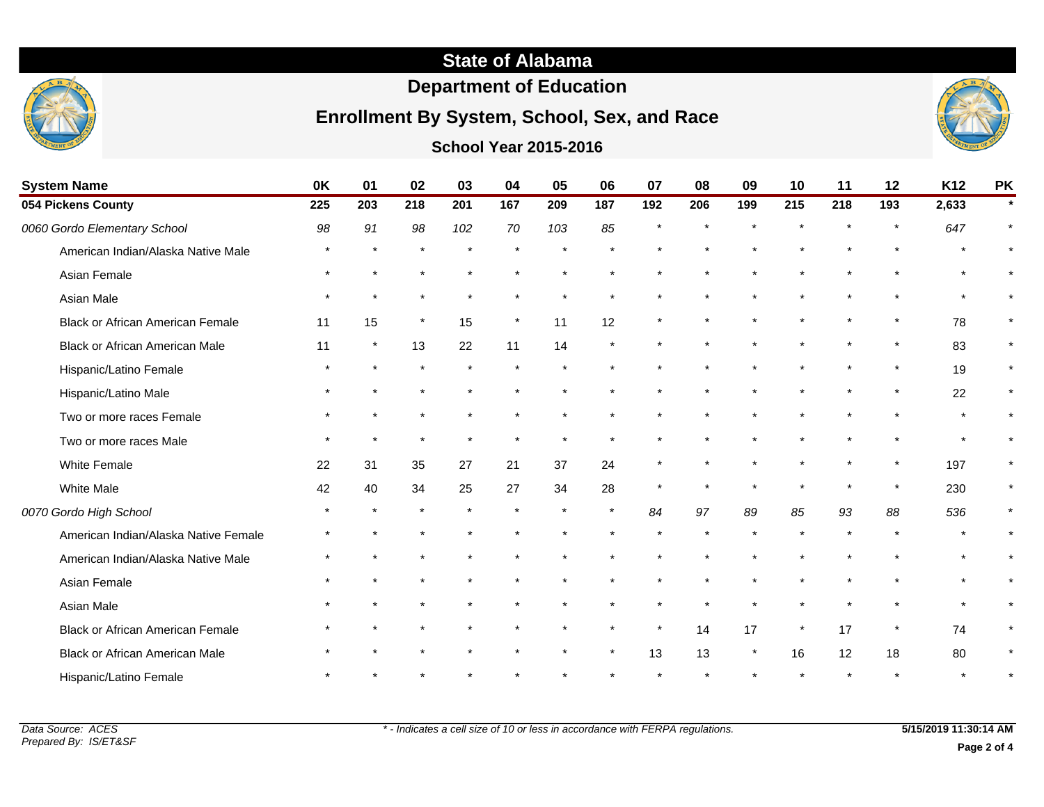# **State of Alabama**

# **Department of Education**

## **Enrollment By System, School, Sex, and Race**

### **School Year 2015-2016**



| <b>System Name</b>                      | 0K  | 01      | 02      | 03  | 04      | 05  | 06      | 07      | 08  | 09  | 10      | 11  | 12  | K12   | <b>PK</b> |
|-----------------------------------------|-----|---------|---------|-----|---------|-----|---------|---------|-----|-----|---------|-----|-----|-------|-----------|
| 054 Pickens County                      | 225 | 203     | 218     | 201 | 167     | 209 | 187     | 192     | 206 | 199 | 215     | 218 | 193 | 2,633 | $\star$   |
| 0060 Gordo Elementary School            | 98  | 91      | 98      | 102 | 70      | 103 | 85      |         |     |     |         |     |     | 647   |           |
| American Indian/Alaska Native Male      |     |         |         |     |         |     |         |         |     |     |         |     |     |       |           |
| Asian Female                            |     |         |         |     |         |     |         |         |     |     |         |     |     |       |           |
| Asian Male                              |     |         |         |     |         |     |         |         |     |     |         |     |     |       | $\star$   |
| <b>Black or African American Female</b> | 11  | 15      | $\star$ | 15  | $\star$ | 11  | 12      |         |     |     |         |     |     | 78    | $\star$   |
| Black or African American Male          | 11  | $\star$ | 13      | 22  | 11      | 14  |         |         |     |     |         |     |     | 83    | $\star$   |
| Hispanic/Latino Female                  |     |         |         |     |         |     |         |         |     |     |         |     |     | 19    | $\star$   |
| Hispanic/Latino Male                    |     |         |         |     |         |     |         |         |     |     |         |     |     | 22    | $\star$   |
| Two or more races Female                |     |         |         |     |         |     |         |         |     |     |         |     |     |       | $\star$   |
| Two or more races Male                  |     |         |         |     |         |     |         |         |     |     |         |     |     |       |           |
| White Female                            | 22  | 31      | 35      | 27  | 21      | 37  | 24      |         |     |     |         |     |     | 197   |           |
| White Male                              | 42  | 40      | 34      | 25  | 27      | 34  | 28      |         |     |     |         |     |     | 230   | $\star$   |
| 0070 Gordo High School                  |     |         |         |     |         |     | $\star$ | 84      | 97  | 89  | 85      | 93  | 88  | 536   |           |
| American Indian/Alaska Native Female    |     |         |         |     |         |     |         |         |     |     |         |     |     |       |           |
| American Indian/Alaska Native Male      |     |         |         |     |         |     |         |         |     |     |         |     |     |       |           |
| Asian Female                            |     |         |         |     |         |     |         |         |     |     |         |     |     |       |           |
| Asian Male                              |     |         |         |     |         |     |         |         |     |     |         |     |     |       | $\star$   |
| <b>Black or African American Female</b> |     |         |         |     |         |     |         | $\star$ | 14  | 17  | $\star$ | 17  |     | 74    | $\star$   |
| Black or African American Male          |     |         |         |     |         |     |         | 13      | 13  |     | 16      | 12  | 18  | 80    |           |
| Hispanic/Latino Female                  |     |         |         |     |         |     |         |         |     |     |         |     |     |       |           |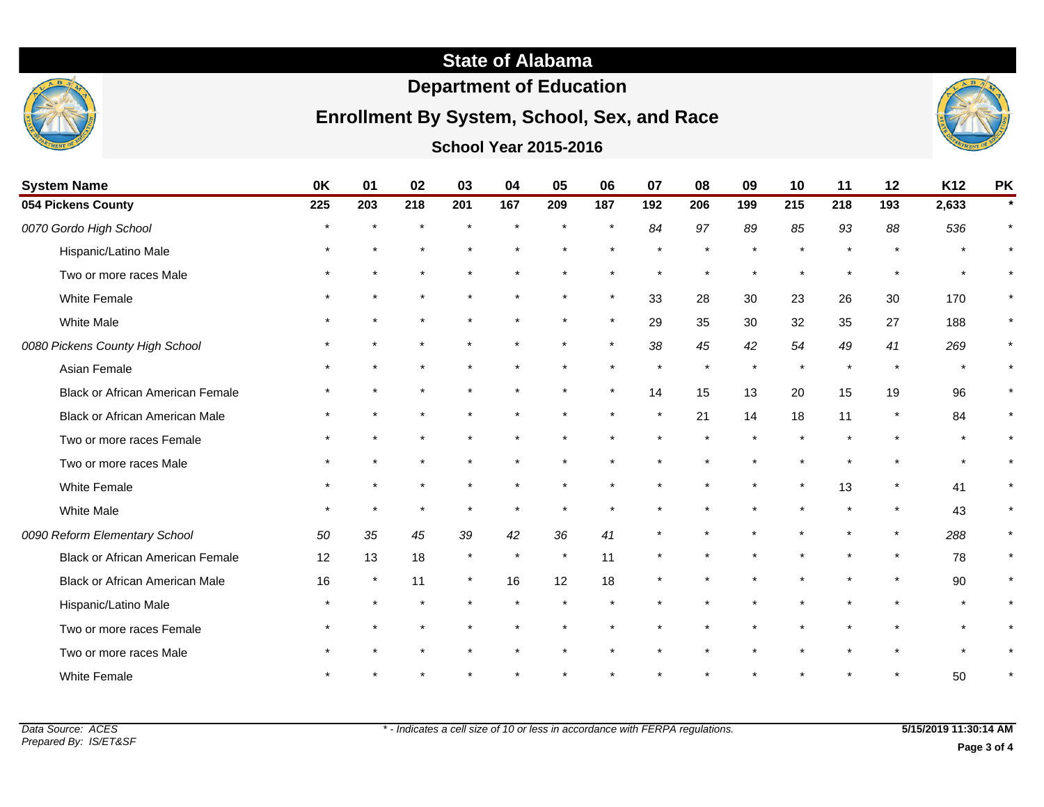

## **Department of Education**

# **Enrollment By System, School, Sex, and Race**



**School Year 2015-2016**

| <b>System Name</b>                      | 0K      | 01     | 02  | 03      | 04      | 05      | 06            | 07      | 08  | 09  | 10      | 11            | 12      | K12   | <b>PK</b> |
|-----------------------------------------|---------|--------|-----|---------|---------|---------|---------------|---------|-----|-----|---------|---------------|---------|-------|-----------|
| 054 Pickens County                      | 225     | 203    | 218 | 201     | 167     | 209     | 187           | 192     | 206 | 199 | 215     | 218           | 193     | 2,633 |           |
| 0070 Gordo High School                  |         |        |     |         | $\star$ |         | $\star$       | 84      | 97  | 89  | 85      | 93            | 88      | 536   |           |
| Hispanic/Latino Male                    |         |        |     |         |         |         |               |         |     |     |         | $\star$       | $\star$ |       |           |
| Two or more races Male                  |         |        |     |         |         |         |               |         |     |     |         |               |         |       |           |
| <b>White Female</b>                     |         |        |     |         |         |         | $\pmb{\star}$ | 33      | 28  | 30  | 23      | 26            | 30      | 170   |           |
| <b>White Male</b>                       |         |        |     |         |         |         |               | 29      | 35  | 30  | 32      | 35            | 27      | 188   |           |
| 0080 Pickens County High School         |         |        |     |         |         |         | $\star$       | 38      | 45  | 42  | 54      | 49            | 41      | 269   |           |
| Asian Female                            |         |        |     |         |         |         |               |         |     |     | $\star$ | $\pmb{\star}$ | $\star$ |       |           |
| <b>Black or African American Female</b> |         |        |     |         | $\star$ |         |               | 14      | 15  | 13  | 20      | 15            | 19      | 96    |           |
| <b>Black or African American Male</b>   |         |        |     |         |         |         |               | $\star$ | 21  | 14  | 18      | 11            | $\ast$  | 84    |           |
| Two or more races Female                |         |        |     |         |         |         |               |         |     |     |         | $\star$       | $\star$ |       |           |
| Two or more races Male                  |         |        |     |         |         |         |               |         |     |     |         |               |         |       |           |
| White Female                            |         |        |     |         |         |         |               |         |     |     | $\star$ | 13            |         | 41    |           |
| <b>White Male</b>                       | $\star$ |        |     | $\star$ |         |         |               |         |     |     |         |               |         | 43    |           |
| 0090 Reform Elementary School           | 50      | 35     | 45  | 39      | 42      | 36      | 41            |         |     |     |         | $\star$       | $\star$ | 288   |           |
| <b>Black or African American Female</b> | 12      | 13     | 18  | $\star$ | $\star$ | $\star$ | 11            |         |     |     |         |               | $\star$ | 78    |           |
| <b>Black or African American Male</b>   | 16      | $\ast$ | 11  |         | 16      | 12      | 18            | $\star$ |     |     |         |               |         | 90    |           |
| Hispanic/Latino Male                    |         |        |     |         |         |         |               |         |     |     |         |               |         |       |           |
| Two or more races Female                |         |        |     |         |         |         |               |         |     |     |         |               |         |       |           |
| Two or more races Male                  |         |        |     |         |         |         |               |         |     |     |         |               |         |       |           |
| <b>White Female</b>                     |         |        |     |         |         |         |               |         |     |     |         |               |         | 50    |           |